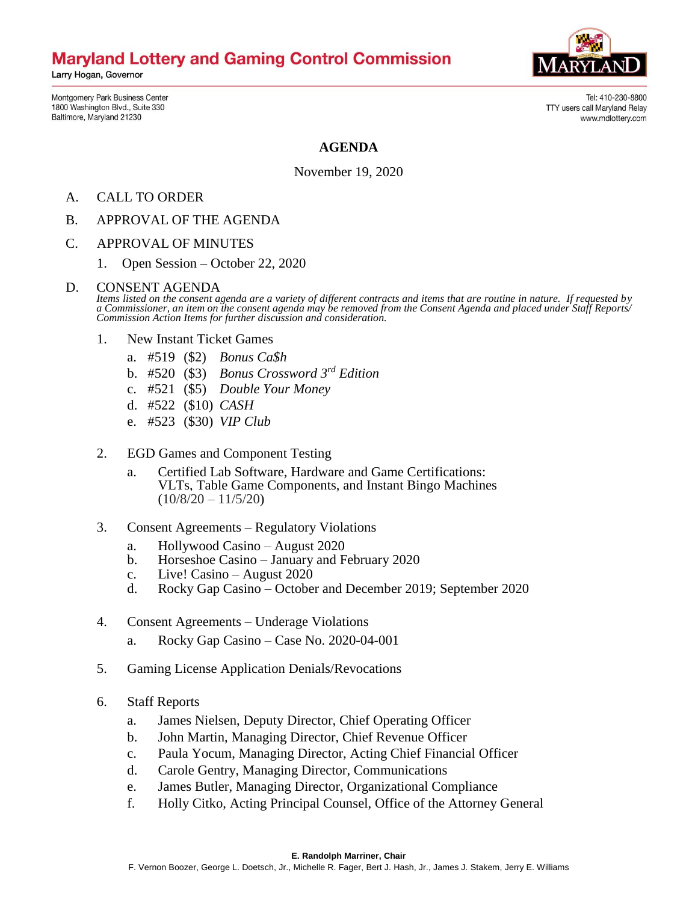# **Maryland Lottery and Gaming Control Commission**

Larry Hogan, Governor

Montgomery Park Business Center 1800 Washington Blvd., Suite 330 Baltimore, Maryland 21230

Tel: 410-230-8800 TTY users call Maryland Relay www.mdlottery.com

#### **AGENDA**

November 19, 2020

- A. CALL TO ORDER
- B. APPROVAL OF THE AGENDA
- C. APPROVAL OF MINUTES
	- 1. Open Session October 22, 2020

#### D. CONSENT AGENDA

*Items listed on the consent agenda are a variety of different contracts and items that are routine in nature. If requested by a Commissioner, an item on the consent agenda may be removed from the Consent Agenda and placed under Staff Reports/ Commission Action Items for further discussion and consideration.*

- 1. New Instant Ticket Games
	- a. #519 (\$2) *Bonus Ca\$h*
	- b. #520 (\$3) *Bonus Crossword 3rd Edition*
	- c. #521 (\$5) *Double Your Money*
	- d. #522 (\$10) *CASH*
	- e. #523 (\$30) *VIP Club*
- 2. EGD Games and Component Testing
	- a. Certified Lab Software, Hardware and Game Certifications: VLTs, Table Game Components, and Instant Bingo Machines  $(10/8/20 - 11/5/20)$
- 3. Consent Agreements Regulatory Violations
	- a. Hollywood Casino August 2020
	- b. Horseshoe Casino January and February 2020
	- c. Live! Casino August 2020
	- d. Rocky Gap Casino October and December 2019; September 2020
- 4. Consent Agreements Underage Violations
	- a. Rocky Gap Casino Case No. 2020-04-001
- 5. Gaming License Application Denials/Revocations
- 6. Staff Reports
	- a. James Nielsen, Deputy Director, Chief Operating Officer
	- b. John Martin, Managing Director, Chief Revenue Officer
	- c. Paula Yocum, Managing Director, Acting Chief Financial Officer
	- d. Carole Gentry, Managing Director, Communications
	- e. James Butler, Managing Director, Organizational Compliance
	- f. Holly Citko, Acting Principal Counsel, Office of the Attorney General